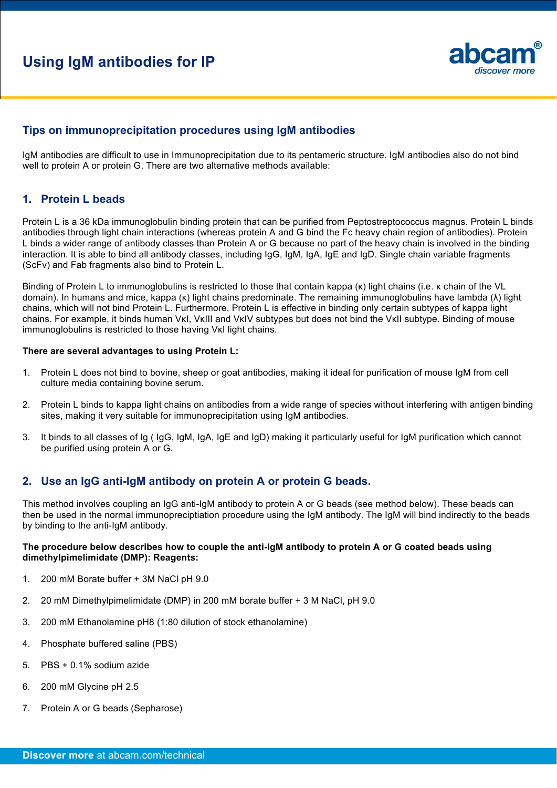# **Using IgM antibodies for IP**



## **Tips on immunoprecipitation procedures using IgM antibodies**

IgM antibodies are difficult to use in Immunoprecipitation due to its pentameric structure. IgM antibodies also do not bind well to protein A or protein G. There are two alternative methods available:

### **1. Protein L beads**

Protein L is a 36 kDa immunoglobulin binding protein that can be purified from Peptostreptococcus magnus. Protein L binds antibodies through light chain interactions (whereas protein A and G bind the Fc heavy chain region of antibodies). Protein L binds a wider range of antibody classes than Protein A or G because no part of the heavy chain is involved in the binding interaction. It is able to bind all antibody classes, including IgG, IgM, IgA, IgE and IgD. Single chain variable fragments (ScFv) and Fab fragments also bind to Protein L.

Binding of Protein L to immunoglobulins is restricted to those that contain kappa (κ) light chains (i.e. κ chain of the VL domain). In humans and mice, kappa (κ) light chains predominate. The remaining immunoglobulins have lambda (λ) light chains, which will not bind Protein L. Furthermore, Protein L is effective in binding only certain subtypes of kappa light chains. For example, it binds human VκI, VκIII and VκIV subtypes but does not bind the VκII subtype. Binding of mouse immunoglobulins is restricted to those having VκI light chains.

#### **There are several advantages to using Protein L:**

- 1. Protein L does not bind to bovine, sheep or goat antibodies, making it ideal for purification of mouse IgM from cell culture media containing bovine serum.
- 2. Protein L binds to kappa light chains on antibodies from a wide range of species without interfering with antigen binding sites, making it very suitable for immunoprecipitation using IgM antibodies.
- 3. It binds to all classes of Ig ( IgG, IgM, IgA, IgE and IgD) making it particularly useful for IgM purification which cannot be purified using protein A or G.

## **2. Use an IgG anti-IgM antibody on protein A or protein G beads.**

This method involves coupling an IgG anti-IgM antibody to protein A or G beads (see method below). These beads can then be used in the normal immunopreciptiation procedure using the IgM antibody. The IgM will bind indirectly to the beads by binding to the anti-IgM antibody.

#### **The procedure below describes how to couple the anti-IgM antibody to protein A or G coated beads using dimethylpimelimidate (DMP): Reagents:**

- 1. 200 mM Borate buffer + 3M NaCl pH 9.0
- 2. 20 mM Dimethylpimelimidate (DMP) in 200 mM borate buffer + 3 M NaCl, pH 9.0
- 3. 200 mM Ethanolamine pH8 (1:80 dilution of stock ethanolamine)
- 4. Phosphate buffered saline (PBS)
- 5. PBS + 0.1% sodium azide
- 6. 200 mM Glycine pH 2.5
- 7. Protein A or G beads (Sepharose)